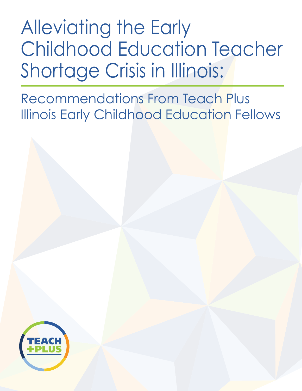Alleviating the Early Childhood Education Teacher Shortage Crisis in Illinois:

Recommendations From Teach Plus Illinois Early Childhood Education Fellows

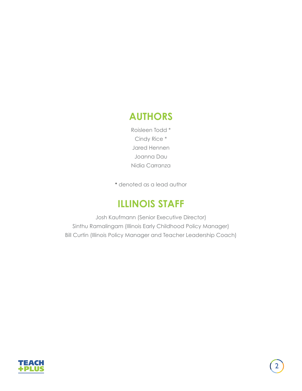### **AUTHORS**

Roisleen Todd \* Cindy Rice \* Jared Hennen Joanna Dau Nidia Carranza

\* denoted as a lead author

### **ILLINOIS STAFF**

Josh Kaufmann (Senior Executive Director) Sinthu Ramalingam (Illinois Early Childhood Policy Manager) Bill Curtin (Illinois Policy Manager and Teacher Leadership Coach)

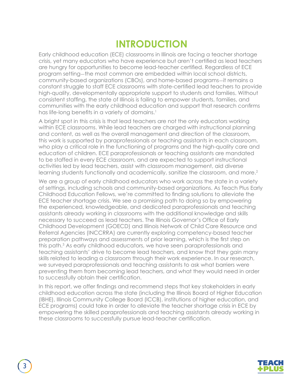### **INTRODUCTION**

Early childhood education (ECE) classrooms in Illinois are facing a teacher shortage crisis, yet many educators who have experience but aren't certified as lead teachers are hungry for opportunities to become lead-teacher certified. Regardless of ECE program setting-the most common are embedded within local school districts, community-based organizations (CBOs), and home-based programs-it remains a constant struggle to staff ECE classrooms with state-certified lead teachers to provide high-quality, developmentally appropriate support to students and families. Without consistent staffing, the state of Illinois is failing to empower students, families, and communities with the early childhood education and support that research confirms has life-long benefits in a variety of domains.<sup>1</sup>

A bright spot in this crisis is that lead teachers are not the only educators working within ECE classrooms. While lead teachers are charged with instructional planning and content, as well as the overall management and direction of the classroom, this work is supported by paraprofessionals or teaching assistants in each classroom, who play a critical role in the functioning of programs and the high-quality care and education of children. ECE paraprofessionals or teaching assistants are mandated to be staffed in every ECE classroom, and are expected to support instructional activities led by lead teachers, assist with classroom management, aid diverse learning students functionally and academically, sanitize the classroom, and more.<sup>2</sup>

We are a group of early childhood educators who work across the state in a variety of settings, including schools and community-based organizations. As Teach Plus Early Childhood Education Fellows, we're committed to finding solutions to alleviate the ECE teacher shortage crisis. We see a promising path to doing so by empowering the experienced, knowledgeable, and dedicated paraprofessionals and teaching assistants already working in classrooms with the additional knowledge and skills necessary to succeed as lead teachers. The Illinois Governor's Office of Early Childhood Development (GOECD) and Illinois Network of Child Care Resource and Referral Agencies (INCCRRA) are currently exploring competency-based teacher preparation pathways and assessments of prior learning, which is the first step on this path.<sup>3</sup> As early childhood educators, we have seen paraprofessionals and teaching assistants' drive to become lead teachers, and know that they gain many skills related to leading a classroom through their work experience. In our research, we surveyed paraprofessionals and teaching assistants to ask what barriers were preventing them from becoming lead teachers, and what they would need in order to successfully obtain their certification.

In this report, we offer findings and recommend steps that key stakeholders in early childhood education across the state (including the Illinois Board of Higher Education (IBHE), Illinois Community College Board (ICCB), institutions of higher education, and ECE programs) could take in order to alleviate the teacher shortage crisis in ECE by empowering the skilled paraprofessionals and teaching assistants already working in these classrooms to successfully pursue lead-teacher certification.

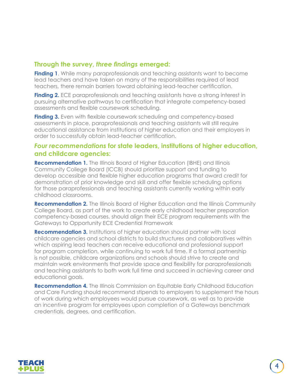#### **Through the survey,** *three findings* **emerged:**

**Finding 1**. While many paraprofessionals and teaching assistants want to become lead teachers and have taken on many of the responsibilities required of lead teachers, there remain barriers toward obtaining lead-teacher certification.

**Finding 2.** ECE paraprofessionals and teaching assistants have a strong interest in pursuing alternative pathways to certification that integrate competency-based assessments and flexible coursework scheduling.

**Finding 3.** Even with flexible coursework scheduling and competency-based assessments in place, paraprofessionals and teaching assistants will still require educational assistance from institutions of higher education and their employers in order to successfully obtain lead-teacher certification.

#### *Four recommendations* **for state leaders, institutions of higher education, and childcare agencies:**

**Recommendation 1.** The Illinois Board of Higher Education (IBHE) and Illinois Community College Board (ICCB) should prioritize support and funding to develop accessible and flexible higher education programs that award credit for demonstration of prior knowledge and skill and offer flexible scheduling options for those paraprofessionals and teaching assistants currently working within early childhood classrooms.

**Recommendation 2.** The Illinois Board of Higher Education and the Illinois Community College Board, as part of the work to create early childhood teacher preparation competency-based courses, should align their ECE program requirements with the Gateways to Opportunity ECE Credential Framework

**Recommendation 3.** Institutions of higher education should partner with local childcare agencies and school districts to build structures and collaboratives within which aspiring lead teachers can receive educational and professional support for program completion, while continuing to work full time. If a formal partnership is not possible, childcare organizations and schools should strive to create and maintain work environments that provide space and flexibility for paraprofessionals and teaching assistants to both work full time and succeed in achieving career and educational goals.

**Recommendation 4.** The Illinois Commission on Equitable Early Childhood Education and Care Funding should recommend stipends to employers to supplement the hours of work during which employees would pursue coursework, as well as to provide an incentive program for employees upon completion of a Gateways benchmark credentials, degrees, and certification.

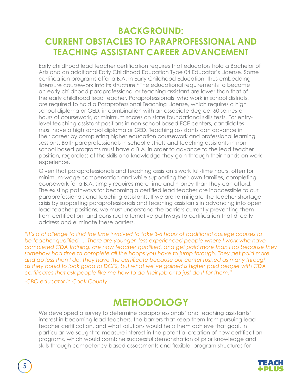### **BACKGROUND: CURRENT OBSTACLES TO PARAPROFESSIONAL AND TEACHING ASSISTANT CAREER ADVANCEMENT**

Early childhood lead teacher certification requires that educators hold a Bachelor of Arts and an additional Early Childhood Education Type 04 Educator's License. Some certification programs offer a B.A. in Early Childhood Education, thus embedding licensure coursework into its structure.<sup>4</sup> The educational requirements to become an early childhood paraprofessional or teaching assistant are lower than that of the early childhood lead teacher. Paraprofessionals, who work in school districts, are required to hold a Paraprofessional Teaching License, which requires a high school diploma or GED, in combination with an associate degree, 60 semester hours of coursework, or minimum scores on state foundational skills tests. For entrylevel teaching assistant positions in non-school based ECE centers, candidates must have a high school diploma or GED. Teaching assistants can advance in their career by completing higher education coursework and professional learning sessions. Both paraprofessionals in school districts and teaching assistants in nonschool based programs must have a B.A. in order to advance to the lead teacher position, regardless of the skills and knowledge they gain through their hands-on work experience.

Given that paraprofessionals and teaching assistants work full-time hours, often for minimum-wage compensation and while supporting their own families, completing coursework for a B.A. simply requires more time and money than they can afford. The existing pathways for becoming a certified lead teacher are inaccessible to our paraprofessionals and teaching assistants. If we are to mitigate the teacher shortage crisis by supporting paraprofessionals and teaching assistants in advancing into open lead teacher positions, we must understand the barriers currently preventing them from certification, and construct alternative pathways to certification that directly address and eliminate these barriers.

*"It's a challenge to find the time involved to take 3-6 hours of additional college courses to be teacher qualified. ... There are younger, less experienced people where I work who have completed CDA training, are now teacher qualified, and get paid more than I do because they*  somehow had time to complete all the hoops you have to jump through. They get paid more *and do less than I do. They have the certificate because our center rushed as many through as they could to look good to DCFS, but what we've gained is higher paid people with CDA certificates that ask people like me how to do their job or to just do it for them."* 

*-CBO educator in Cook County*

### **METHODOLOGY**

We developed a survey to determine paraprofessionals' and teaching assistants' interest in becoming lead teachers, the barriers that keep them from pursuing lead teacher certification, and what solutions would help them achieve that goal. In particular, we sought to measure interest in the potential creation of new certification programs, which would combine successful demonstration of prior knowledge and skills through competency-based assessments and flexible program structures for

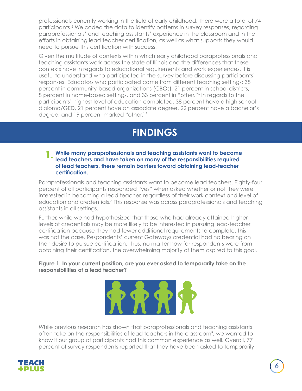professionals currently working in the field of early childhood. There were a total of 74 participants.<sup>5</sup> We coded the data to identify patterns in survey responses, regarding paraprofessionals' and teaching assistants' experience in the classroom and in the efforts in obtaining lead teacher certification, as well as what supports they would need to pursue this certification with success.

Given the multitude of contexts within which early childhood paraprofessionals and teaching assistants work across the state of Illinois and the differences that these contexts have in regards to educational requirements and work experiences, it is useful to understand who participated in the survey before discussing participants' responses. Educators who participated came from different teaching settings: 38 percent in community-based organizations (CBOs), 21 percent in school districts, 8 percent in home-based settings, and 33 percent in "other."6 In regards to the participants' highest level of education completed, 38 percent have a high school diploma/GED, 21 percent have an associate degree, 22 percent have a bachelor's degree, and 19 percent marked "other."7

# **FINDINGS**

#### **While many paraprofessionals and teaching assistants want to become lead teachers and have taken on many of the responsibilities required of lead teachers, there remain barriers toward obtaining lead-teacher certification. 1.**

Paraprofessionals and teaching assistants want to become lead teachers. Eighty-four percent of all participants responded "yes" when asked whether or not they were interested in becoming a lead teacher, regardless of their work context and level of education and credentials.<sup>8</sup> This response was across paraprofessionals and teaching assistants in all settings.

Further, while we had hypothesized that those who had already attained higher levels of credentials may be more likely to be interested in pursuing lead-teacher certification because they had fewer additional requirements to complete, this was not the case. Respondents' current Gateways credential had no bearing on their desire to pursue certification. Thus, no matter how far respondents were from obtaining their certification, the overwhelming majority of them aspired to this goal.

**Figure 1. In your current position, are you ever asked to temporarily take on the responsibilities of a lead teacher?**



*W*hile previous research has shown that paraprofessionals and teaching assistants often take on the responsibilities of lead teachers in the classroom<sup>9</sup>, we wanted to know if our group of participants had this common experience as well. Overall, 77 percent of survey respondents reported that they have been asked to temporarily

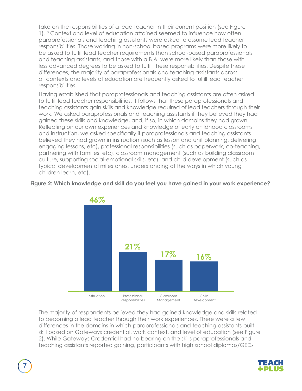take on the responsibilities of a lead teacher in their current position (see Figure 1).10 Context and level of education attained seemed to influence how often paraprofessionals and teaching assistants were asked to assume lead teacher responsibilities. Those working in non-school based programs were more likely to be asked to fulfill lead teacher requirements than school-based paraprofessionals and teaching assistants, and those with a B.A. were more likely than those with less advanced degrees to be asked to fulfill these responsibilities. Despite these differences, the majority of paraprofessionals and teaching assistants across all contexts and levels of education are frequently asked to fulfill lead teacher responsibilities.

Having established that paraprofessionals and teaching assistants are often asked to fulfill lead teacher responsibilities, it follows that these paraprofessionals and teaching assistants gain skills and knowledge required of lead teachers through their work. We asked paraprofessionals and teaching assistants if they believed they had gained these skills and knowledge, and, if so, in which domains they had grown. Reflecting on our own experiences and knowledge of early childhood classrooms and instruction, we asked specifically if paraprofessionals and teaching assistants believed they had grown in instruction (such as lesson and unit planning, delivering engaging lessons, etc), professional responsibilities (such as paperwork, co-teaching, partnering with families, etc), classroom management (such as building classroom culture, supporting social-emotional skills, etc), and child development (such as typical developmental milestones, understanding of the ways in which young children learn, etc).

#### **Figure 2: Which knowledge and skill do you feel you have gained in your work experience?**



The majority of respondents believed they had gained knowledge and skills related to becoming a lead teacher through their work experiences. There were a few differences in the domains in which paraprofessionals and teaching assistants built skill based on Gateways credential, work context, and level of education (see Figure 2). While Gateways Credential had no bearing on the skills paraprofessionals and teaching assistants reported gaining, participants with high school diplomas/GEDs

7

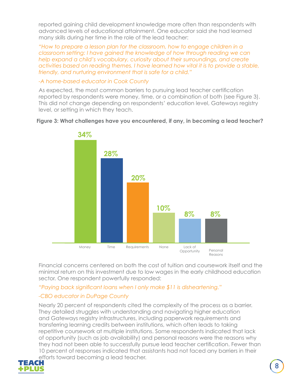reported gaining child development knowledge more often than respondents with advanced levels of educational attainment. One educator said she had learned many skills during her time in the role of the lead teacher:

*"How to prepare a lesson plan for the classroom, how to engage children in a classroom setting: I have gained the knowledge of how through reading we can help expand a child's vocabulary, curiosity about their surroundings, and create activities based on reading themes. I have learned how vital it is to provide a stable, friendly, and nurturing environment that is safe for a child."* 

#### *-A home-based educator in Cook County*

As expected, the most common barriers to pursuing lead teacher certification reported by respondents were money, time, or a combination of both (see Figure 3). This did not change depending on respondents' education level, Gateways registry level, or setting in which they teach.



#### **Figure 3: What challenges have you encountered, if any, in becoming a lead teacher?**

Financial concerns centered on both the cost of tuition and coursework itself and the minimal return on this investment due to low wages in the early childhood education sector. One respondent powerfully responded:

#### *"Paying back significant loans when I only make \$11 is disheartening."*

### *-CBO educator in DuPage County*

Nearly 20 percent of respondents cited the complexity of the process as a barrier. They detailed struggles with understanding and navigating higher education and Gateways registry infrastructures, including paperwork requirements and transferring learning credits between institutions, which often leads to taking repetitive coursework at multiple institutions. Some respondents indicated that lack of opportunity (such as job availability) and personal reasons were the reasons why they had not been able to successfully pursue lead teacher certification. Fewer than 10 percent of responses indicated that assistants had not faced any barriers in their efforts toward becoming a lead teacher.<br>FEACH

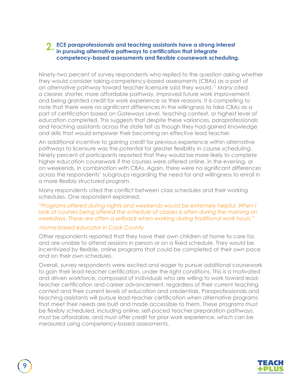#### **ECE paraprofessionals and teaching assistants have a strong interest 2.in pursuing alternative pathways to certification that integrate competency-based assessments and flexible coursework scheduling.**

Ninety-two percent of survey respondents who replied to the question asking whether they would consider taking competency-based assessments (CBAs) as a part of an alternative pathway toward teacher licensure said they would.11 Many cited a clearer, shorter, more affordable pathway, improved future work improvement, and being granted credit for work experience as their reasons. It is compelling to note that there were no significant differences in the willingness to take CBAs as a part of certification based on Gateways Level, teaching context, or highest level of education completed. This suggests that despite these variances, paraprofessionals and teaching assistants across the state felt as though they had gained knowledge and skills that would empower their becoming an effective lead teacher.

An additional incentive to gaining credit for previous experience within alternative pathways to licensure was the potential for greater flexibility in course scheduling. Ninety percent of participants reported that they would be more likely to complete higher education coursework if the courses were offered online, in the evening, or on weekends, in combination with CBAs. Again, there were no significant differences across the respondents' subgroups regarding the need for and willingness to enroll in a more flexibly structured program.

Many respondents cited the conflict between class schedules and their working schedules. One respondent explained,

#### *"Programs offered during nights and weekends would be extremely helpful. When I*  look at courses being offered the schedule of classes is often during the morning on *weekdays. These are often a setback when working during traditional work hours."*

#### *-Home-based educator in Cook County*

Other respondents reported that they have their own children at home to care for, and are unable to attend sessions in person or on a fixed schedule. They would be incentivized by flexible, online programs that could be completed at their own pace and on their own schedules.

Overall, survey respondents were excited and eager to pursue additional coursework to gain their lead-teacher certification, under the right conditions. This is a motivated and driven workforce, composed of individuals who are willing to work toward leadteacher certification and career advancement, regardless of their current teaching context and their current levels of education and credentials. Paraprofessionals and teaching assistants will pursue lead-teacher certification when alternative programs that meet their needs are built and made accessible to them. These programs must be flexibly scheduled, including online, self-paced teacher preparation pathways, must be affordable, and must offer credit for prior work experience, which can be measured using competency-based assessments.

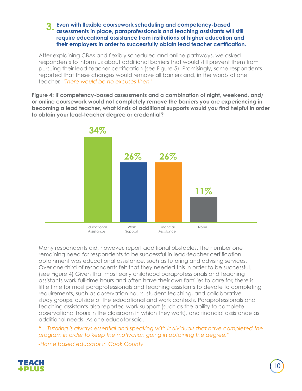#### **Even with flexible coursework scheduling and competency-based 3. assessments in place, paraprofessionals and teaching assistants will still require educational assistance from institutions of higher education and their employers in order to successfully obtain lead teacher certification.**

After explaining CBAs and flexibly scheduled and online pathways, we asked respondents to inform us about additional barriers that would still prevent them from pursuing their lead-teacher certification (see Figure 5). Promisingly, some respondents reported that these changes would remove all barriers and, in the words of one teacher, *"There would be no excuses then."*

**Figure 4: If competency-based assessments and a combination of night, weekend, and/ or online coursework would not completely remove the barriers you are experiencing in becoming a lead teacher, what kinds of additional supports would you find helpful in order to obtain your lead-teacher degree or credential?**



Many respondents did, however, report additional obstacles. The number one remaining need for respondents to be successful in lead-teacher certification obtainment was educational assistance, such as tutoring and advising services. Over one-third of respondents felt that they needed this in order to be successful. (see Figure 4) Given that most early childhood paraprofessionals and teaching assistants work full-time hours and often have their own families to care for, there is little time for most paraprofessionals and teaching assistants to devote to completing requirements, such as observation hours, student teaching, and collaborative study groups, outside of the educational and work contexts. Paraprofessionals and teaching assistants also reported work support (such as the ability to complete observational hours in the classroom in which they work), and financial assistance as additional needs. As one educator said,

*"... Tutoring is always essential and speaking with individuals that have completed the program in order to keep the motivation going in obtaining the degree."* 

*-Home based educator in Cook County*

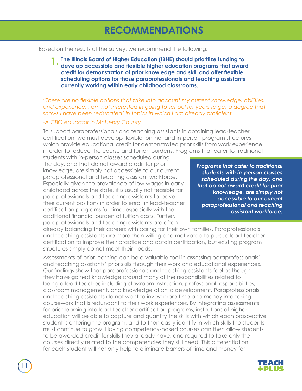# **RECOMMENDATIONS**

Based on the results of the survey, we recommend the following:

**The Illinois Board of Higher Education (IBHE) should prioritize funding to develop accessible and flexible higher education programs that award credit for demonstration of prior knowledge and skill and offer flexible scheduling options for those paraprofessionals and teaching assistants currently working within early childhood classrooms. 1.**

*"There are no flexible options that take into account my current knowledge, abilities, and experience. I am not interested in going to school for years to get a degree that shows I have been 'educated' in topics in which I am already proficient."* 

#### *-A CBO educator in McHenry County*

To support paraprofessionals and teaching assistants in obtaining lead-teacher certification, we must develop flexible, online, and in-person program structures which provide educational credit for demonstrated prior skills from work experience in order to reduce the course and tuition burdens. Programs that cater to traditional

students with in-person classes scheduled during the day, and that do not award credit for prior knowledge, are simply not accessible to our current paraprofessional and teaching assistant workforce. Especially given the prevalence of low wages in early childhood across the state, it is usually not feasible for paraprofessionals and teaching assistants to leave their current positions in order to enroll in lead-teacher certification programs full time, especially with the additional financial burden of tuition costs. Further, paraprofessionals and teaching assistants are often

*Programs that cater to traditional students with in-person classes scheduled during the day, and that do not award credit for prior knowledge, are simply not accessible to our current paraprofessional and teaching assistant workforce.*

already balancing their careers with caring for their own families. Paraprofessionals and teaching assistants are more than willing and motivated to pursue lead-teacher certification to improve their practice and obtain certification, but existing program structures simply do not meet their needs.

Assessments of prior learning can be a valuable tool in assessing paraprofessionals' and teaching assistants' prior skills through their work and educational experiences. Our findings show that paraprofessionals and teaching assistants feel as though they have gained knowledge around many of the responsibilities related to being a lead teacher, including classroom instruction, professional responsibilities, classroom management, and knowledge of child development. Paraprofessionals and teaching assistants do not want to invest more time and money into taking coursework that is redundant to their work experiences. By integrating assessments for prior learning into lead-teacher certification programs, institutions of higher education will be able to capture and quantify the skills with which each prospective student is entering the program, and to then easily identify in which skills the students must continue to grow. Having competency-based courses can then allow students to be awarded credit for skills they already have, and required to take only the courses directly related to the competencies they still need. This differentiation for each student will not only help to eliminate barriers of time and money for

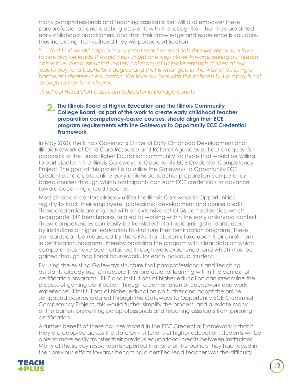many paraprofessionals and teaching assistants, but will also empower these paraprofessionals and teaching assistants with the recognition that they are skilled early childhood practitioners, and that their knowledge and experience is valuable, thus increasing the likelihood they will pursue certification.

*"... I feel that would help so many great teacher assistants that like me would love to one day be leads. It would help us get one step closer towards seeing our dream come true, because unfortunately not many of us make enough money at our jobs to pay for a bachelor's degree and that is what gets in the way of pursuing a* bachelor's degree in education. We love our jobs with the children but our pay is not *enough to pay for a degree."* 

*-A school Head Start classroom educator in DuPage county*

**The Illinois Board of Higher Education and the Illinois Community 2. College Board, as part of the work to create early childhood teacher preparation competency-based courses, should align their ECE program requirements with the Gateways to Opportunity ECE Credential Framework**

In May 2020, the Illinois Governor's Office of Early Childhood Development and Illinois Network of Child Care Resource and Referral Agencies put out a request for proposals to the Illinois Higher Education community for those that would be willing to participate in the Illinois Gateways to Opportunity ECE Credential Competency Project. The goal of this project is to utilize the Gateways to Opportunity ECE Credentials to create online early childhood teacher preparation competencybased courses through which participants can earn ECE credentials to advance toward becoming a lead teacher.

Most childcare centers already utilize the Illinois Gateways to Opportunities registry to track their employees' professional development and course credit. These credentials are aligned with an extensive set of 56 competencies, which incorporate 347 benchmarks, related to working within the early childhood context. These competencies can easily be translated into the learning standards used by institutions of higher education to structure their certification programs. These standards can be measured by the CBAs that students take upon their enrollment in certification programs, thereby providing the program with clear data on which competencies have been attained through work experience, and which must be gained through additional coursework, for each individual student.

By using the existing Gateways structure that paraprofessionals and teaching assistants already use to measure their professional learning within the context of certification programs, IBHE and institutions of higher education can streamline the process of gaining certification through a combination of coursework and work experience. If institutions of higher education go further and adopt the online, self-paced courses created through the Gateways to Opportunity ECE Credential Competency Project, this would further simplify the process, and alleviate many of the barriers preventing paraprofessionals and teaching assistants from pursuing certification.

A further benefit of these courses rooted in the ECE Credential Framework is that if they are adopted across the state by institutions of higher education, students will be able to more easily transfer their previous educational credits between institutions. Many of the survey respondents reported that one of the barriers they had faced in their previous efforts towards becoming a certified lead teacher was the difficulty

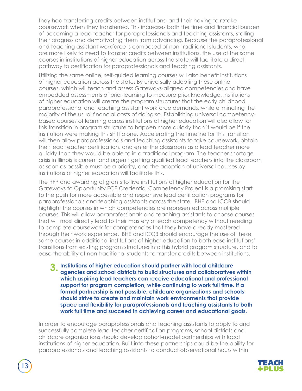they had transferring credits between institutions, and their having to retake coursework when they transferred. This increases both the time and financial burden of becoming a lead teacher for paraprofessionals and teaching assistants, stalling their progress and demotivating them from advancing. Because the paraprofessional and teaching assistant workforce is composed of non-traditional students, who are more likely to need to transfer credits between institutions, the use of the same courses in institutions of higher education across the state will facilitate a direct pathway to certification for paraprofessionals and teaching assistants.

Utilizing the same online, self-guided learning courses will also benefit institutions of higher education across the state. By universally adopting these online courses, which will teach and assess Gateways-aligned competencies and have embedded assessments of prior learning to measure prior knowledge, institutions of higher education will create the program structures that the early childhood paraprofessional and teaching assistant workforce demands, while eliminating the majority of the usual financial costs of doing so. Establishing universal competencybased courses of learning across institutions of higher education will also allow for this transition in program structure to happen more quickly than it would be if the institution were making this shift alone. Accelerating the timeline for this transition will then allow paraprofessionals and teaching assistants to take coursework, obtain their lead teacher certification, and enter the classroom as a lead teacher more quickly than they would be able to in a traditional program. The teacher shortage crisis in Illinois is current and urgent; getting qualified lead teachers into the classroom as soon as possible must be a priority, and the adoption of universal courses by institutions of higher education will facilitate this.

The RFP and awarding of grants to five institutions of higher education for the Gateways to Opportunity ECE Credential Competency Project is a promising start to the push for more accessible and responsive lead certification programs for paraprofessionals and teaching assistants across the state. IBHE and ICCB should highlight the courses in which competencies are represented across multiple courses. This will allow paraprofessionals and teaching assistants to choose courses that will most directly lead to their mastery of each competency without needing to complete coursework for competencies that they have already mastered through their work experience. IBHE and ICCB should encourage the use of these same courses in additional institutions of higher education to both ease institutions' transitions from existing program structures into this hybrid program structure, and to ease the ability of non-traditional students to transfer credits between institutions.

**Institutions of higher education should partner with local childcare 3. agencies and school districts to build structures and collaboratives within which aspiring lead teachers can receive educational and professional support for program completion, while continuing to work full time. If a formal partnership is not possible, childcare organizations and schools should strive to create and maintain work environments that provide space and flexibility for paraprofessionals and teaching assistants to both work full time and succeed in achieving career and educational goals.**

In order to encourage paraprofessionals and teaching assistants to apply to and successfully complete lead-teacher certification programs, school districts and childcare organizations should develop cohort-model partnerships with local institutions of higher education. Built into these partnerships could be the ability for paraprofessionals and teaching assistants to conduct observational hours within

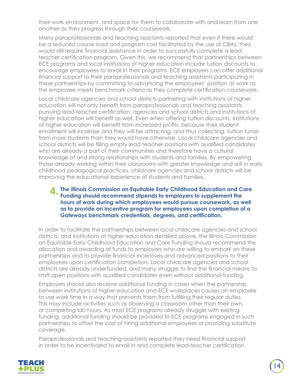their work environment, and space for them to collaborate with and learn from one another as they progress through their coursework.

Many paraprofessionals and teaching assistants reported that even if there would be a reduced course load and program cost facilitated by the use of CBAs, they would still require financial assistance in order to successfully complete a lead teacher certification program. Given this, we recommend that partnerships between ECE programs and local institutions of higher education include tuition discounts to encourage employees to enroll in their programs. ECE employers can offer additional financial support to their paraprofessionals and teaching assistants participating in these partnerships by committing to advancing the employees' position at work as the employee meets benchmark criteria as they complete certification coursework.

Local childcare agencies and school districts partnering with institutions of higher education will not only benefit from paraprofessionals and teaching assistants pursuing lead-teacher certification; agencies and school districts and institutions of higher education will benefit as well. Even when offering tuition discounts, institutions of higher education will benefit from increased profits, because their student enrollment will increase and they will be attracting, and thus collecting, tuition funds from more students than they would have otherwise. Local childcare agencies and school districts will be filling empty lead teacher positions with qualified candidates who are already a part of their communities and therefore have a cultural knowledge of and strong relationships with students and families. By empowering those already working within their classrooms with greater knowledge and skill in early childhood pedagogical practices, childcare agencies and school districts will be improving the educational experience of students and families.

#### **The Illinois Commission on Equitable Early Childhood Education and Care 4. Funding should recommend stipends to employers to supplement the hours of work during which employees would pursue coursework, as well as to provide an incentive program for employees upon completion of a Gateways benchmark credentials, degrees, and certification.**

In order to facilitate the partnerships between local childcare agencies and school districts, and institutions of higher education detailed above, the Illinois Commission on Equitable Early Childhood Education and Care Funding should recommend the allocation and awarding of funds to employers who are willing to embark on these partnerships and to provide financial incentives and advanced positions to their employees upon certification completion. Local childcare agencies and school districts are already underfunded, and many struggle to find the financial means to staff open positions with qualified candidates even without additional funding.

Employers should also receive additional funding in cases when the partnership between institutions of higher education and ECE workplaces causes an employee to use work time in a way that prevents them from fulfilling their regular duties. This may include activities such as observing a classroom other than their own, or completing lab hours. As most ECE programs already struggle with existing funding, additional funding should be provided to ECE programs engaged in such partnerships to offset the cost of hiring additional employees or providing substitute coverage.

Paraprofessionals and teaching assistants reported they need financial support in order to be incentivized to enroll in and complete lead-teacher certification

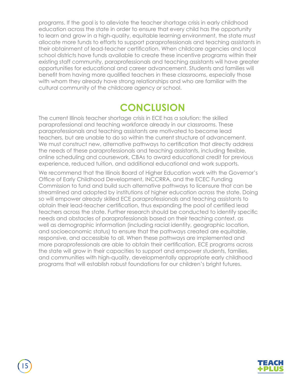programs. If the goal is to alleviate the teacher shortage crisis in early childhood education across the state in order to ensure that every child has the opportunity to learn and grow in a high-quality, equitable learning environment, the state must allocate more funds to efforts to support paraprofessionals and teaching assistants in their obtainment of lead-teacher certification. When childcare agencies and local school districts have funds available to create these incentive programs within their existing staff community, paraprofessionals and teaching assistants will have greater opportunities for educational and career advancement. Students and families will benefit from having more qualified teachers in these classrooms, especially those with whom they already have strong relationships and who are familiar with the cultural community of the childcare agency or school.

### **CONCLUSION**

The current Illinois teacher shortage crisis in ECE has a solution: the skilled paraprofessional and teaching workforce already in our classrooms. These paraprofessionals and teaching assistants are motivated to become lead teachers, but are unable to do so within the current structure of advancement. We must construct new, alternative pathways to certification that directly address the needs of these paraprofessionals and teaching assistants, including flexible, online scheduling and coursework, CBAs to award educational credit for previous experience, reduced tuition, and additional educational and work supports.

We recommend that the Illinois Board of Higher Education work with the Governor's Office of Early Childhood Development, INCCRRA, and the ECEC Funding Commission to fund and build such alternative pathways to licensure that can be streamlined and adopted by institutions of higher education across the state. Doing so will empower already skilled ECE paraprofessionals and teaching assistants to obtain their lead-teacher certification, thus expanding the pool of certified lead teachers across the state. Further research should be conducted to identify specific needs and obstacles of paraprofessionals based on their teaching context, as well as demographic information (including racial identity, geographic location, and socioeconomic status) to ensure that the pathways created are equitable, responsive, and accessible to all. When these pathways are implemented and more paraprofessionals are able to obtain their certification, ECE programs across the state will grow in their capacities to support and empower students, families, and communities with high-quality, developmentally appropriate early childhood programs that will establish robust foundations for our children's bright futures.



15